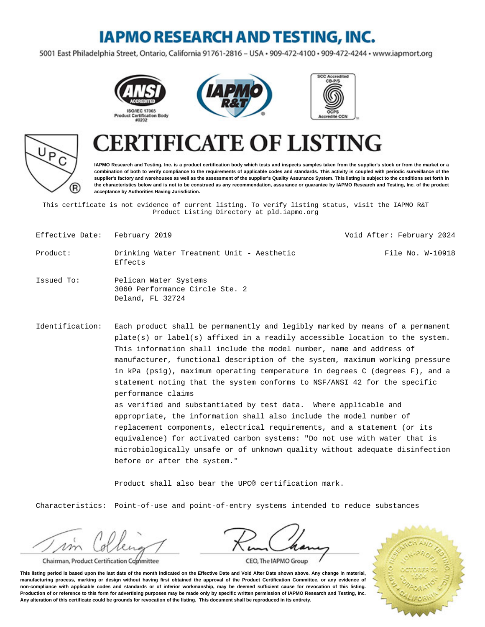## **IAPMO RESEARCH AND TESTING, INC.**

5001 East Philadelphia Street, Ontario, California 91761-2816 - USA · 909-472-4100 · 909-472-4244 · www.iapmort.org









# **CATE OF LISTING**

**IAPMO Research and Testing, Inc. is a product certification body which tests and inspects samples taken from the supplier's stock or from the market or a combination of both to verify compliance to the requirements of applicable codes and standards. This activity is coupled with periodic surveillance of the supplier's factory and warehouses as well as the assessment of the supplier's Quality Assurance System. This listing is subject to the conditions set forth in the characteristics below and is not to be construed as any recommendation, assurance or guarantee by IAPMO Research and Testing, Inc. of the product acceptance by Authorities Having Jurisdiction.**

This certificate is not evidence of current listing. To verify listing status, visit the IAPMO R&T Product Listing Directory at pld.iapmo.org

| Effective Date: February 2019 |                                                                             | Void After: February 2024 |
|-------------------------------|-----------------------------------------------------------------------------|---------------------------|
| Product:                      | Drinking Water Treatment Unit - Aesthetic<br>Effects                        | File No. W-10918          |
| Issued To:                    | Pelican Water Systems<br>3060 Performance Circle Ste. 2<br>Deland, FL 32724 |                           |

Identification: Each product shall be permanently and legibly marked by means of a permanent  $plate(s)$  or label(s) affixed in a readily accessible location to the system. This information shall include the model number, name and address of manufacturer, functional description of the system, maximum working pressure in kPa (psig), maximum operating temperature in degrees C (degrees F), and a statement noting that the system conforms to NSF/ANSI 42 for the specific performance claims as verified and substantiated by test data. Where applicable and appropriate, the information shall also include the model number of replacement components, electrical requirements, and a statement (or its equivalence) for activated carbon systems: "Do not use with water that is microbiologically unsafe or of unknown quality without adequate disinfection

Product shall also bear the UPC® certification mark.

Characteristics: Point-of-use and point-of-entry systems intended to reduce substances

Chairman, Product Certification Committee





CEO, The IAPMO Group

**This listing period is based upon the last date of the month indicated on the Effective Date and Void After Date shown above. Any change in material, manufacturing process, marking or design without having first obtained the approval of the Product Certification Committee, or any evidence of non-compliance with applicable codes and standards or of inferior workmanship, may be deemed sufficient cause for revocation of this listing. Production of or reference to this form for advertising purposes may be made only by specific written permission of IAPMO Research and Testing, Inc. Any alteration of this certificate could be grounds for revocation of the listing. This document shall be reproduced in its entirety.**

before or after the system."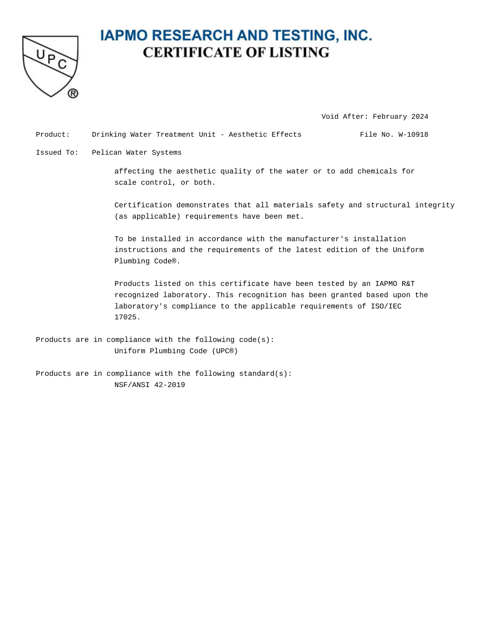

#### **IAPMO RESEARCH AND TESTING, INC. CERTIFICATE OF LISTING**

Void After: February 2024

Product: Drinking Water Treatment Unit - Aesthetic Effects File No. W-10918

Issued To: Pelican Water Systems

affecting the aesthetic quality of the water or to add chemicals for scale control, or both.

Certification demonstrates that all materials safety and structural integrity (as applicable) requirements have been met.

To be installed in accordance with the manufacturer's installation instructions and the requirements of the latest edition of the Uniform Plumbing Code®.

Products listed on this certificate have been tested by an IAPMO R&T recognized laboratory. This recognition has been granted based upon the laboratory's compliance to the applicable requirements of ISO/IEC 17025.

- Products are in compliance with the following code(s): Uniform Plumbing Code (UPC®)
- Products are in compliance with the following standard(s): NSF/ANSI 42-2019